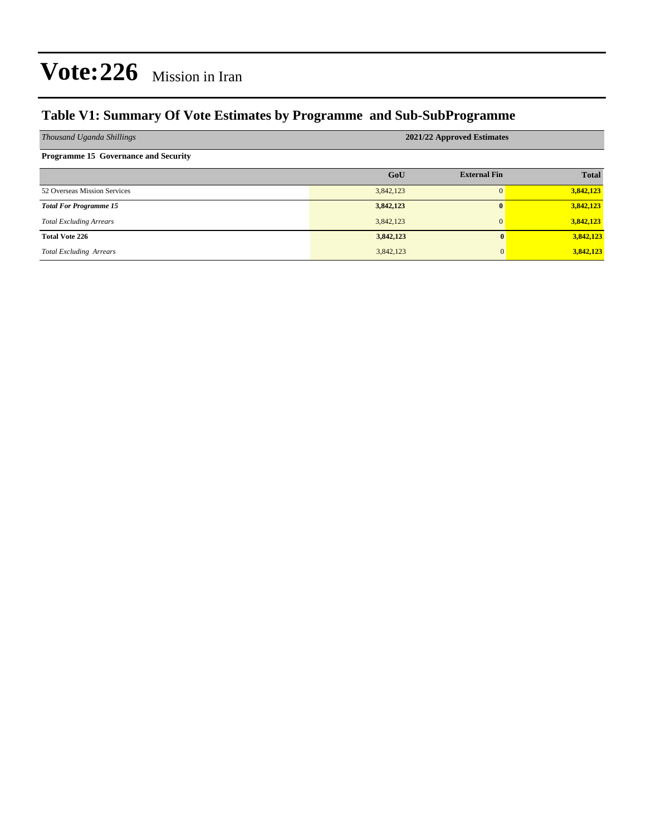## **Table V1: Summary Of Vote Estimates by Programme and Sub-SubProgramme**

| Thousand Uganda Shillings                   | 2021/22 Approved Estimates |                     |              |  |  |  |  |
|---------------------------------------------|----------------------------|---------------------|--------------|--|--|--|--|
| <b>Programme 15 Governance and Security</b> |                            |                     |              |  |  |  |  |
|                                             | GoU                        | <b>External Fin</b> | <b>Total</b> |  |  |  |  |
| 52 Overseas Mission Services                | 3,842,123                  |                     | 3,842,123    |  |  |  |  |
| <b>Total For Programme 15</b>               | 3,842,123                  | $\mathbf{0}$        | 3,842,123    |  |  |  |  |
| <b>Total Excluding Arrears</b>              | 3,842,123                  | $\mathbf{0}$        | 3,842,123    |  |  |  |  |
| <b>Total Vote 226</b>                       | 3,842,123                  | $\mathbf{0}$        | 3,842,123    |  |  |  |  |
| <b>Total Excluding Arrears</b>              | 3,842,123                  | 0                   | 3,842,123    |  |  |  |  |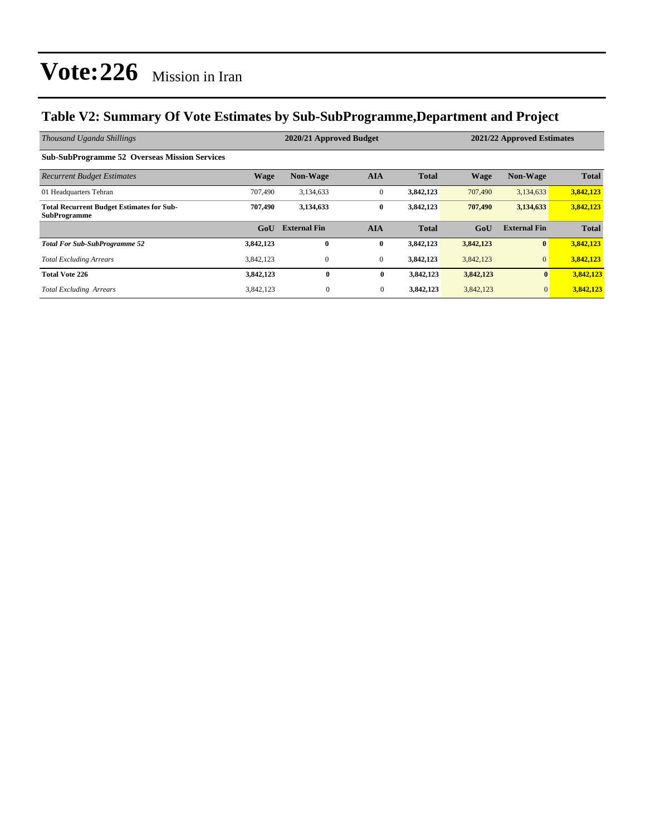## **Table V2: Summary Of Vote Estimates by Sub-SubProgramme,Department and Project**

| Thousand Uganda Shillings                                               |           | 2020/21 Approved Budget |              |              | 2021/22 Approved Estimates |                     |              |
|-------------------------------------------------------------------------|-----------|-------------------------|--------------|--------------|----------------------------|---------------------|--------------|
| <b>Sub-SubProgramme 52 Overseas Mission Services</b>                    |           |                         |              |              |                            |                     |              |
| <b>Recurrent Budget Estimates</b>                                       | Wage      | <b>Non-Wage</b>         | <b>AIA</b>   | <b>Total</b> | <b>Wage</b>                | <b>Non-Wage</b>     | <b>Total</b> |
| 01 Headquarters Tehran                                                  | 707,490   | 3,134,633               | $\mathbf{0}$ | 3,842,123    | 707,490                    | 3,134,633           | 3,842,123    |
| <b>Total Recurrent Budget Estimates for Sub-</b><br><b>SubProgramme</b> | 707,490   | 3,134,633               | $\bf{0}$     | 3,842,123    | 707,490                    | 3,134,633           | 3,842,123    |
|                                                                         | GoU       | <b>External Fin</b>     | <b>AIA</b>   | <b>Total</b> | GoU                        | <b>External Fin</b> | <b>Total</b> |
| <b>Total For Sub-SubProgramme 52</b>                                    | 3,842,123 | $\bf{0}$                | $\bf{0}$     | 3,842,123    | 3,842,123                  | $\bf{0}$            | 3,842,123    |
| <b>Total Excluding Arrears</b>                                          | 3,842,123 | $\mathbf{0}$            | $\theta$     | 3,842,123    | 3,842,123                  | $\overline{0}$      | 3,842,123    |
| <b>Total Vote 226</b>                                                   | 3,842,123 | $\bf{0}$                | $\bf{0}$     | 3,842,123    | 3,842,123                  | $\mathbf{0}$        | 3,842,123    |
| <b>Total Excluding Arrears</b>                                          | 3,842,123 | $\mathbf{0}$            | $\mathbf{0}$ | 3,842,123    | 3,842,123                  | $\mathbf{0}$        | 3,842,123    |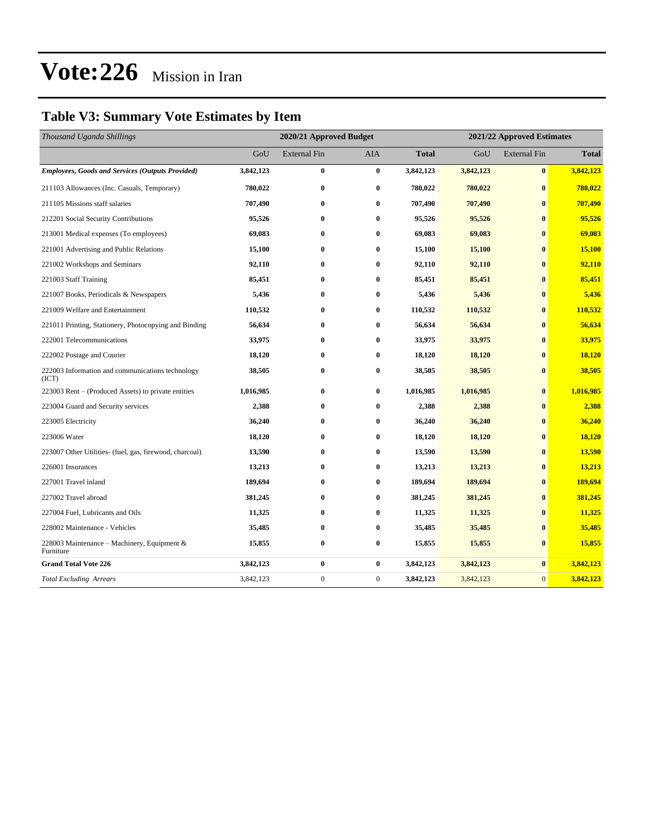## **Table V3: Summary Vote Estimates by Item**

| Thousand Uganda Shillings                                   | 2020/21 Approved Budget |                     |              |              | 2021/22 Approved Estimates |                     |              |
|-------------------------------------------------------------|-------------------------|---------------------|--------------|--------------|----------------------------|---------------------|--------------|
|                                                             | GoU                     | <b>External Fin</b> | <b>AIA</b>   | <b>Total</b> | GoU                        | <b>External Fin</b> | <b>Total</b> |
| <b>Employees, Goods and Services (Outputs Provided)</b>     | 3,842,123               | $\bf{0}$            | $\bf{0}$     | 3,842,123    | 3,842,123                  | $\bf{0}$            | 3,842,123    |
| 211103 Allowances (Inc. Casuals, Temporary)                 | 780,022                 | $\bf{0}$            | $\bf{0}$     | 780,022      | 780,022                    | $\bf{0}$            | 780,022      |
| 211105 Missions staff salaries                              | 707,490                 | $\bf{0}$            | $\bf{0}$     | 707,490      | 707,490                    | $\mathbf{0}$        | 707,490      |
| 212201 Social Security Contributions                        | 95,526                  | $\bf{0}$            | $\bf{0}$     | 95,526       | 95,526                     | $\bf{0}$            | 95,526       |
| 213001 Medical expenses (To employees)                      | 69,083                  | $\bf{0}$            | $\bf{0}$     | 69,083       | 69,083                     | $\mathbf{0}$        | 69,083       |
| 221001 Advertising and Public Relations                     | 15,100                  | $\bf{0}$            | $\bf{0}$     | 15,100       | 15,100                     | $\bf{0}$            | 15,100       |
| 221002 Workshops and Seminars                               | 92,110                  | $\bf{0}$            | $\bf{0}$     | 92,110       | 92,110                     | $\bf{0}$            | 92,110       |
| 221003 Staff Training                                       | 85,451                  | $\bf{0}$            | $\bf{0}$     | 85,451       | 85,451                     | $\bf{0}$            | 85,451       |
| 221007 Books, Periodicals & Newspapers                      | 5,436                   | $\bf{0}$            | $\bf{0}$     | 5,436        | 5,436                      | $\bf{0}$            | 5,436        |
| 221009 Welfare and Entertainment                            | 110,532                 | $\bf{0}$            | $\bf{0}$     | 110,532      | 110,532                    | $\bf{0}$            | 110,532      |
| 221011 Printing, Stationery, Photocopying and Binding       | 56,634                  | $\bf{0}$            | $\bf{0}$     | 56,634       | 56,634                     | $\bf{0}$            | 56,634       |
| 222001 Telecommunications                                   | 33,975                  | $\bf{0}$            | $\bf{0}$     | 33,975       | 33,975                     | $\bf{0}$            | 33,975       |
| 222002 Postage and Courier                                  | 18,120                  | $\bf{0}$            | $\bf{0}$     | 18,120       | 18,120                     | $\bf{0}$            | 18,120       |
| 222003 Information and communications technology<br>(ICT)   | 38,505                  | $\bf{0}$            | $\bf{0}$     | 38,505       | 38,505                     | $\bf{0}$            | 38,505       |
| 223003 Rent – (Produced Assets) to private entities         | 1,016,985               | $\bf{0}$            | $\bf{0}$     | 1,016,985    | 1,016,985                  | $\bf{0}$            | 1,016,985    |
| 223004 Guard and Security services                          | 2,388                   | $\bf{0}$            | $\bf{0}$     | 2,388        | 2,388                      | $\mathbf{0}$        | 2,388        |
| 223005 Electricity                                          | 36,240                  | $\bf{0}$            | $\bf{0}$     | 36,240       | 36,240                     | $\bf{0}$            | 36,240       |
| 223006 Water                                                | 18,120                  | $\bf{0}$            | $\bf{0}$     | 18,120       | 18,120                     | $\bf{0}$            | 18,120       |
| 223007 Other Utilities- (fuel, gas, firewood, charcoal)     | 13,590                  | $\bf{0}$            | $\bf{0}$     | 13,590       | 13,590                     | $\bf{0}$            | 13,590       |
| 226001 Insurances                                           | 13,213                  | $\bf{0}$            | $\bf{0}$     | 13,213       | 13,213                     | $\bf{0}$            | 13,213       |
| 227001 Travel inland                                        | 189,694                 | $\bf{0}$            | $\bf{0}$     | 189,694      | 189,694                    | $\bf{0}$            | 189,694      |
| 227002 Travel abroad                                        | 381,245                 | $\bf{0}$            | $\bf{0}$     | 381,245      | 381,245                    | $\bf{0}$            | 381,245      |
| 227004 Fuel, Lubricants and Oils                            | 11,325                  | $\bf{0}$            | $\bf{0}$     | 11,325       | 11,325                     | $\bf{0}$            | 11,325       |
| 228002 Maintenance - Vehicles                               | 35,485                  | $\bf{0}$            | $\bf{0}$     | 35,485       | 35,485                     | $\bf{0}$            | 35,485       |
| 228003 Maintenance – Machinery, Equipment $\&$<br>Furniture | 15,855                  | $\bf{0}$            | $\bf{0}$     | 15,855       | 15,855                     | $\bf{0}$            | 15,855       |
| <b>Grand Total Vote 226</b>                                 | 3,842,123               | $\bf{0}$            | $\bf{0}$     | 3,842,123    | 3,842,123                  | $\bf{0}$            | 3,842,123    |
| <b>Total Excluding Arrears</b>                              | 3,842,123               | $\boldsymbol{0}$    | $\mathbf{0}$ | 3,842,123    | 3,842,123                  | $\overline{0}$      | 3,842,123    |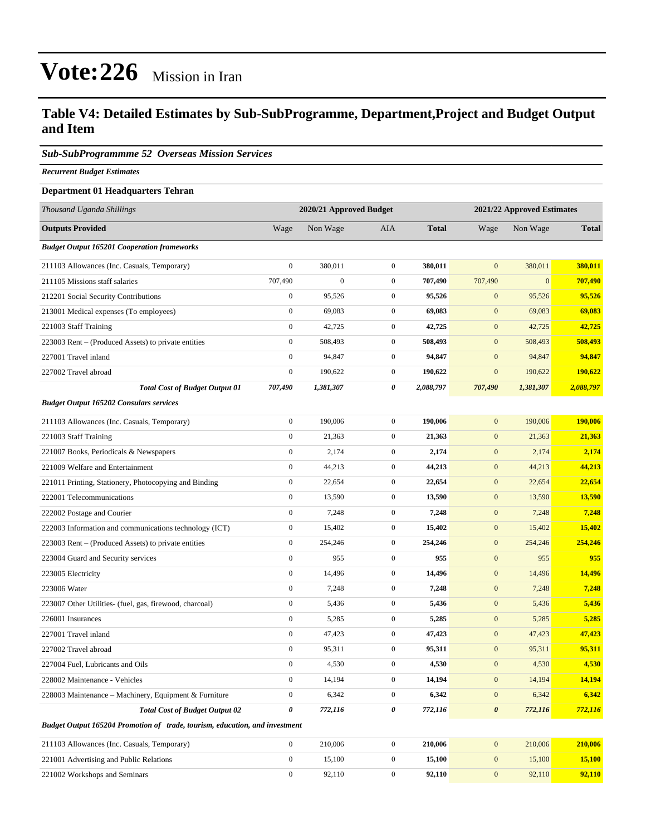### **Table V4: Detailed Estimates by Sub-SubProgramme, Department,Project and Budget Output and Item**

### *Sub-SubProgrammme 52 Overseas Mission Services*

*Recurrent Budget Estimates*

### **Department 01 Headquarters Tehran**

| Thousand Uganda Shillings                                                   | 2020/21 Approved Budget |                  |                  | 2021/22 Approved Estimates |                       |              |              |
|-----------------------------------------------------------------------------|-------------------------|------------------|------------------|----------------------------|-----------------------|--------------|--------------|
| <b>Outputs Provided</b>                                                     | Wage                    | Non Wage         | AIA              | <b>Total</b>               | Wage                  | Non Wage     | <b>Total</b> |
| <b>Budget Output 165201 Cooperation frameworks</b>                          |                         |                  |                  |                            |                       |              |              |
| 211103 Allowances (Inc. Casuals, Temporary)                                 | $\mathbf{0}$            | 380,011          | $\overline{0}$   | 380,011                    | $\mathbf{0}$          | 380,011      | 380,011      |
| 211105 Missions staff salaries                                              | 707,490                 | $\boldsymbol{0}$ | $\mathbf{0}$     | 707,490                    | 707,490               | $\mathbf{0}$ | 707,490      |
| 212201 Social Security Contributions                                        | $\boldsymbol{0}$        | 95,526           | $\mathbf{0}$     | 95,526                     | $\mathbf{0}$          | 95,526       | 95,526       |
| 213001 Medical expenses (To employees)                                      | $\boldsymbol{0}$        | 69,083           | $\mathbf{0}$     | 69,083                     | $\mathbf{0}$          | 69,083       | 69,083       |
| 221003 Staff Training                                                       | $\boldsymbol{0}$        | 42,725           | $\mathbf{0}$     | 42,725                     | $\boldsymbol{0}$      | 42,725       | 42,725       |
| 223003 Rent – (Produced Assets) to private entities                         | $\boldsymbol{0}$        | 508,493          | $\mathbf{0}$     | 508,493                    | $\boldsymbol{0}$      | 508,493      | 508,493      |
| 227001 Travel inland                                                        | $\mathbf{0}$            | 94,847           | $\mathbf{0}$     | 94,847                     | $\mathbf{0}$          | 94,847       | 94,847       |
| 227002 Travel abroad                                                        | $\boldsymbol{0}$        | 190,622          | $\mathbf{0}$     | 190,622                    | $\mathbf{0}$          | 190,622      | 190,622      |
| <b>Total Cost of Budget Output 01</b>                                       | 707,490                 | 1,381,307        | 0                | 2,088,797                  | 707,490               | 1,381,307    | 2,088,797    |
| <b>Budget Output 165202 Consulars services</b>                              |                         |                  |                  |                            |                       |              |              |
| 211103 Allowances (Inc. Casuals, Temporary)                                 | $\boldsymbol{0}$        | 190,006          | $\mathbf{0}$     | 190,006                    | $\mathbf{0}$          | 190,006      | 190,006      |
| 221003 Staff Training                                                       | $\boldsymbol{0}$        | 21,363           | $\overline{0}$   | 21,363                     | $\boldsymbol{0}$      | 21,363       | 21,363       |
| 221007 Books, Periodicals & Newspapers                                      | $\mathbf{0}$            | 2,174            | $\boldsymbol{0}$ | 2,174                      | $\mathbf{0}$          | 2,174        | 2,174        |
| 221009 Welfare and Entertainment                                            | $\boldsymbol{0}$        | 44,213           | $\overline{0}$   | 44,213                     | $\mathbf{0}$          | 44,213       | 44,213       |
| 221011 Printing, Stationery, Photocopying and Binding                       | $\boldsymbol{0}$        | 22,654           | $\mathbf{0}$     | 22,654                     | $\mathbf{0}$          | 22,654       | 22,654       |
| 222001 Telecommunications                                                   | $\boldsymbol{0}$        | 13,590           | $\mathbf{0}$     | 13,590                     | $\mathbf{0}$          | 13,590       | 13,590       |
| 222002 Postage and Courier                                                  | $\boldsymbol{0}$        | 7,248            | $\overline{0}$   | 7,248                      | $\boldsymbol{0}$      | 7,248        | 7,248        |
| 222003 Information and communications technology (ICT)                      | $\mathbf{0}$            | 15,402           | $\mathbf{0}$     | 15,402                     | $\mathbf{0}$          | 15,402       | 15,402       |
| 223003 Rent – (Produced Assets) to private entities                         | $\boldsymbol{0}$        | 254,246          | $\overline{0}$   | 254,246                    | $\mathbf{0}$          | 254,246      | 254,246      |
| 223004 Guard and Security services                                          | $\mathbf{0}$            | 955              | $\mathbf{0}$     | 955                        | $\mathbf{0}$          | 955          | 955          |
| 223005 Electricity                                                          | $\boldsymbol{0}$        | 14,496           | $\mathbf{0}$     | 14,496                     | $\mathbf{0}$          | 14,496       | 14,496       |
| 223006 Water                                                                | $\boldsymbol{0}$        | 7,248            | $\mathbf{0}$     | 7,248                      | $\boldsymbol{0}$      | 7,248        | 7,248        |
| 223007 Other Utilities- (fuel, gas, firewood, charcoal)                     | $\mathbf{0}$            | 5,436            | $\mathbf{0}$     | 5,436                      | $\mathbf{0}$          | 5,436        | 5,436        |
| 226001 Insurances                                                           | $\boldsymbol{0}$        | 5,285            | $\mathbf{0}$     | 5,285                      | $\mathbf{0}$          | 5,285        | 5,285        |
| 227001 Travel inland                                                        | $\boldsymbol{0}$        | 47,423           | $\mathbf{0}$     | 47,423                     | $\mathbf{0}$          | 47,423       | 47,423       |
| 227002 Travel abroad                                                        | $\mathbf{0}$            | 95,311           | $\mathbf{0}$     | 95,311                     | $\mathbf{0}$          | 95,311       | 95,311       |
| 227004 Fuel, Lubricants and Oils                                            | $\boldsymbol{0}$        | 4,530            | $\mathbf{0}$     | 4,530                      | $\mathbf{0}$          | 4,530        | 4,530        |
| 228002 Maintenance - Vehicles                                               | $\mathbf{0}$            | 14,194           | $\boldsymbol{0}$ | 14,194                     | $\mathbf{0}$          | 14,194       | 14,194       |
| 228003 Maintenance - Machinery, Equipment & Furniture                       | $\boldsymbol{0}$        | 6,342            | $\overline{0}$   | 6,342                      | $\mathbf{0}$          | 6,342        | 6,342        |
| <b>Total Cost of Budget Output 02</b>                                       | 0                       | 772,116          | 0                | 772,116                    | $\boldsymbol{\theta}$ | 772,116      | 772,116      |
| Budget Output 165204 Promotion of trade, tourism, education, and investment |                         |                  |                  |                            |                       |              |              |
| 211103 Allowances (Inc. Casuals, Temporary)                                 | $\boldsymbol{0}$        | 210,006          | $\mathbf{0}$     | 210,006                    | $\mathbf{0}$          | 210,006      | 210,006      |
| 221001 Advertising and Public Relations                                     | $\boldsymbol{0}$        | 15,100           | $\boldsymbol{0}$ | 15,100                     | $\boldsymbol{0}$      | 15,100       | 15,100       |
| 221002 Workshops and Seminars                                               | $\boldsymbol{0}$        | 92,110           | $\boldsymbol{0}$ | 92,110                     | $\mathbf{0}$          | 92,110       | 92,110       |